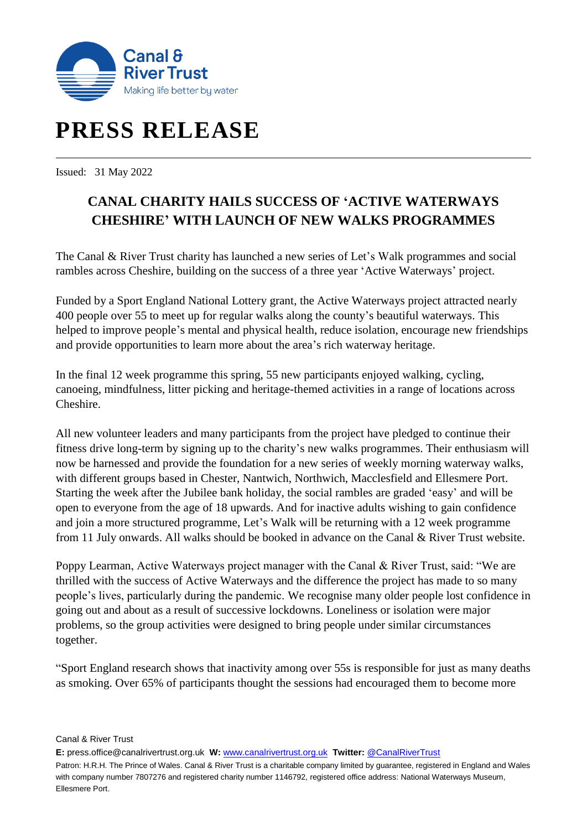

# **PRESS RELEASE**

Issued: 31 May 2022

## **CANAL CHARITY HAILS SUCCESS OF 'ACTIVE WATERWAYS CHESHIRE' WITH LAUNCH OF NEW WALKS PROGRAMMES**

The Canal & River Trust charity has launched a new series of Let's Walk programmes and social rambles across Cheshire, building on the success of a three year 'Active Waterways' project.

Funded by a Sport England National Lottery grant, the Active Waterways project attracted nearly 400 people over 55 to meet up for regular walks along the county's beautiful waterways. This helped to improve people's mental and physical health, reduce isolation, encourage new friendships and provide opportunities to learn more about the area's rich waterway heritage.

In the final 12 week programme this spring, 55 new participants enjoyed walking, cycling, canoeing, mindfulness, litter picking and heritage-themed activities in a range of locations across Cheshire.

All new volunteer leaders and many participants from the project have pledged to continue their fitness drive long-term by signing up to the charity's new walks programmes. Their enthusiasm will now be harnessed and provide the foundation for a new series of weekly morning waterway walks, with different groups based in Chester, Nantwich, Northwich, Macclesfield and Ellesmere Port. Starting the week after the Jubilee bank holiday, the social rambles are graded 'easy' and will be open to everyone from the age of 18 upwards. And for inactive adults wishing to gain confidence and join a more structured programme, Let's Walk will be returning with a 12 week programme from 11 July onwards. All walks should be booked in advance on the Canal & River Trust website.

Poppy Learman, Active Waterways project manager with the Canal & River Trust, said: "We are thrilled with the success of Active Waterways and the difference the project has made to so many people's lives, particularly during the pandemic. We recognise many older people lost confidence in going out and about as a result of successive lockdowns. Loneliness or isolation were major problems, so the group activities were designed to bring people under similar circumstances together.

"Sport England research shows that inactivity among over 55s is responsible for just as many deaths as smoking. Over 65% of participants thought the sessions had encouraged them to become more

Canal & River Trust

**E:** press.office@canalrivertrust.org.uk **W:** [www.canalrivertrust.org.uk](http://www.canalrivertrust.org.uk/) **Twitter:** [@CanalRiverTrust](https://twitter.com/CanalRiverTrust)

Patron: H.R.H. The Prince of Wales. Canal & River Trust is a charitable company limited by guarantee, registered in England and Wales with company number 7807276 and registered charity number 1146792, registered office address: National Waterways Museum, Ellesmere Port.